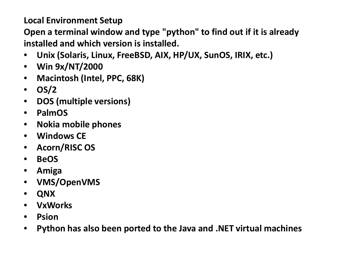## **Local Environment Setup**

**Open a terminal window and type "python" to find out if it is already installed and which version is installed.**

- **Unix (Solaris, Linux, FreeBSD, AIX, HP/UX, SunOS, IRIX, etc.)**
- **Win 9x/NT/2000**
- **Macintosh (Intel, PPC, 68K)**
- **OS/2**
- **DOS (multiple versions)**
- **PalmOS**
- **Nokia mobile phones**
- **Windows CE**
- **Acorn/RISC OS**
- **BeOS**
- **Amiga**
- **VMS/OpenVMS**
- **QNX**
- **VxWorks**
- **Psion**
- **Python has also been ported to the Java and .NET virtual machines**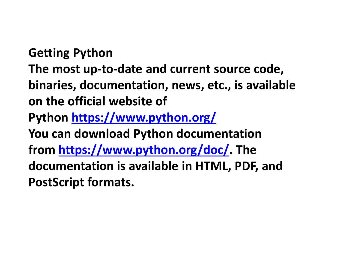**Getting Python**

- **The most up-to-date and current source code, binaries, documentation, news, etc., is available on the official website of**
- **Python <https://www.python.org/>**
- **You can download Python documentation**
- **from [https://www.python.org/doc/.](https://www.python.org/doc/) The**
- **documentation is available in HTML, PDF, and PostScript formats.**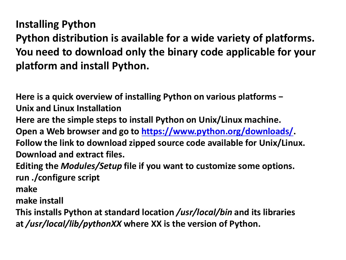**Installing Python**

**Python distribution is available for a wide variety of platforms. You need to download only the binary code applicable for your platform and install Python.**

**Here is a quick overview of installing Python on various platforms − Unix and Linux Installation Here are the simple steps to install Python on Unix/Linux machine. Open a Web browser and go to [https://www.python.org/downloads/.](https://www.python.org/downloads/) Follow the link to download zipped source code available for Unix/Linux. Download and extract files. Editing the** *Modules/Setup* **file if you want to customize some options.**

**run ./configure script**

**make**

**make install**

**This installs Python at standard location** */usr/local/bin* **and its libraries at** */usr/local/lib/pythonXX* **where XX is the version of Python.**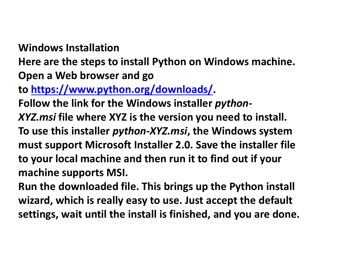**Windows Installation**

**Here are the steps to install Python on Windows machine. Open a Web browser and go** 

**to <https://www.python.org/downloads/>.**

**Follow the link for the Windows installer** *python-*

*XYZ.msi* **file where XYZ is the version you need to install. To use this installer** *python-XYZ.msi***, the Windows system must support Microsoft Installer 2.0. Save the installer file to your local machine and then run it to find out if your machine supports MSI.**

**Run the downloaded file. This brings up the Python install wizard, which is really easy to use. Just accept the default settings, wait until the install is finished, and you are done.**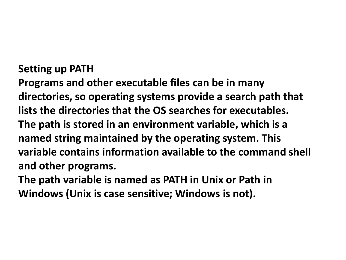## **Setting up PATH**

**Programs and other executable files can be in many directories, so operating systems provide a search path that lists the directories that the OS searches for executables. The path is stored in an environment variable, which is a named string maintained by the operating system. This variable contains information available to the command shell and other programs.**

**The path variable is named as PATH in Unix or Path in Windows (Unix is case sensitive; Windows is not).**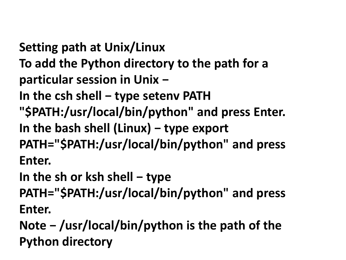**Setting path at Unix/Linux To add the Python directory to the path for a particular session in Unix −**

- **In the csh shell − type setenv PATH**
- **"\$PATH:/usr/local/bin/python" and press Enter.**
- **In the bash shell (Linux) − type export**
- **PATH="\$PATH:/usr/local/bin/python" and press Enter.**

**In the sh or ksh shell − type** 

**PATH="\$PATH:/usr/local/bin/python" and press Enter.**

**Note − /usr/local/bin/python is the path of the Python directory**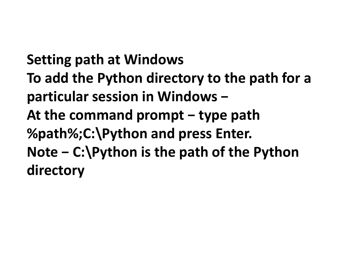**Setting path at Windows To add the Python directory to the path for a particular session in Windows − At the command prompt − type path %path%;C:\Python and press Enter. Note − C:\Python is the path of the Python directory**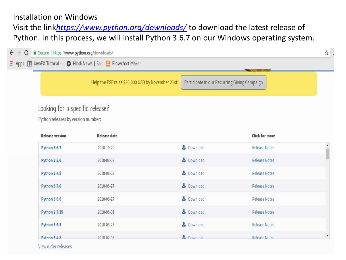## Installation on Windows

Visit the link*<https://www.python.org/downloads/>* to download the latest release of Python. In this process, we will install Python 3.6.7 on our Windows operating system.

| C<br><b>A</b> Secure   https://www.python.org/downloads/              | <b>WE Apps B</b> JavaFX Tutorial - C Hindi News   San   Flowchart Maker |                                              |                      | ☆         |
|-----------------------------------------------------------------------|-------------------------------------------------------------------------|----------------------------------------------|----------------------|-----------|
|                                                                       | Help the PSF raise \$30,000 USD by November 21st!                       | Participate in our Recurring Giving Campaign |                      |           |
| Looking for a specific release?<br>Python releases by version number: |                                                                         |                                              |                      |           |
| <b>Release version</b>                                                | <b>Release date</b>                                                     |                                              | Click for more       |           |
| Python 3.6.7                                                          | 2018-10-20                                                              | Download                                     | <b>Release Notes</b> | $\hat{ }$ |
| <b>Python 3.5.6</b>                                                   | 2018-08-02                                                              | Download                                     | <b>Release Notes</b> |           |
| Python 3.4.9                                                          | 2018-08-02                                                              | Download                                     | <b>Release Notes</b> |           |
| Python 3.7.0                                                          | 2018-06-27                                                              | Download                                     | Release Notes        |           |
| <b>Python 3.6.6</b>                                                   | 2018-06-27                                                              | Download                                     | <b>Release Notes</b> |           |
| <b>Python 2.7.15</b>                                                  | 2018-05-01                                                              | <b>B</b> Download                            | Release Notes        |           |
| <b>Python 3.6.5</b>                                                   | 2018-03-28                                                              | Download                                     | <b>Release Notes</b> |           |
| <b>Python 3.4.8</b>                                                   | 2018-02-05                                                              | Download                                     | Release Notes        | ۳         |

View older releases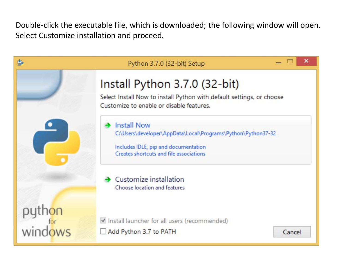Double-click the executable file, which is downloaded; the following window will open. Select Customize installation and proceed.

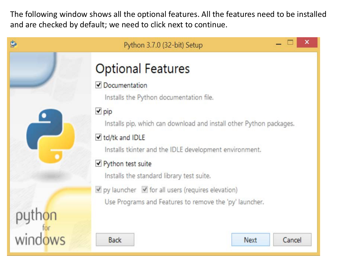The following window shows all the optional features. All the features need to be installed and are checked by default; we need to click next to continue.

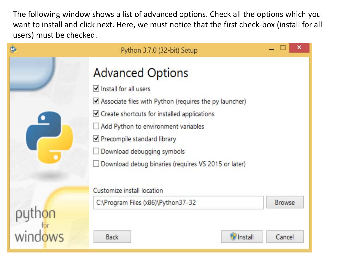The following window shows a list of advanced options. Check all the options which you want to install and click next. Here, we must notice that the first check-box (install for all users) must be checked.

| \$<br>Python 3.7.0 (32-bit) Setup                                                                                                                                                                                                                                                                                    |                         | × |
|----------------------------------------------------------------------------------------------------------------------------------------------------------------------------------------------------------------------------------------------------------------------------------------------------------------------|-------------------------|---|
| <b>Advanced Options</b><br>Install for all users<br>Associate files with Python (requires the py launcher)<br>Create shortcuts for installed applications<br>Add Python to environment variables<br>Precompile standard library<br>Download debugging symbols<br>Download debug binaries (requires VS 2015 or later) |                         |   |
| Customize install location                                                                                                                                                                                                                                                                                           |                         |   |
| C:\Program Files (x86)\Python37-32<br><b>M</b> Install<br><b>Back</b>                                                                                                                                                                                                                                                | <b>Browse</b><br>Cancel |   |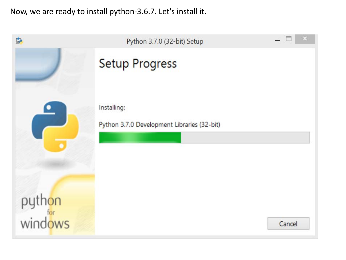Now, we are ready to install python-3.6.7. Let's install it.

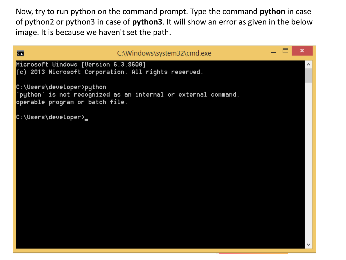Now, try to run python on the command prompt. Type the command **python** in case of python2 or python3 in case of **python3**. It will show an error as given in the below image. It is because we haven't set the path.

| <b>B</b>                                                                                       | C:\Windows\system32\cmd.exe                                    |  | × |
|------------------------------------------------------------------------------------------------|----------------------------------------------------------------|--|---|
| Microsoft Windows [Uersion 6.3.9600]<br>$(c)$ 2013 Microsoft Corporation. All rights reserved. |                                                                |  |   |
| C:\Users\developer>python<br>operable program or batch file.                                   | 'python' is not recognized as an internal or external command, |  |   |
| C:\Users\developer>                                                                            |                                                                |  |   |
|                                                                                                |                                                                |  |   |
|                                                                                                |                                                                |  |   |
|                                                                                                |                                                                |  |   |
|                                                                                                |                                                                |  |   |
|                                                                                                |                                                                |  |   |
|                                                                                                |                                                                |  |   |
|                                                                                                |                                                                |  |   |
|                                                                                                |                                                                |  |   |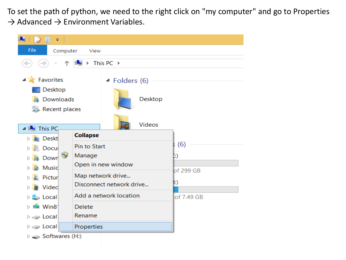To set the path of python, we need to the right click on "my computer" and go to Properties  $\rightarrow$  Advanced  $\rightarrow$  Environment Variables.

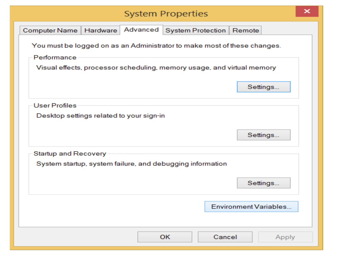|                                                                                         |          | <b>System Properties</b> |        |        |                              | x |
|-----------------------------------------------------------------------------------------|----------|--------------------------|--------|--------|------------------------------|---|
| Computer Name<br>Hardware                                                               | Advanced | System Protection        |        | Remote |                              |   |
| You must be logged on as an Administrator to make most of these changes.<br>Performance |          |                          |        |        |                              |   |
| Visual effects, processor scheduling, memory usage, and virtual memory                  |          |                          |        |        |                              |   |
|                                                                                         |          |                          |        |        | Settings                     |   |
| <b>User Profiles</b>                                                                    |          |                          |        |        |                              |   |
| Desktop settings related to your sign-in                                                |          |                          |        |        |                              |   |
|                                                                                         |          |                          |        |        | Settings                     |   |
| Startup and Recovery                                                                    |          |                          |        |        |                              |   |
| System startup, system failure, and debugging information                               |          |                          |        |        |                              |   |
|                                                                                         |          |                          |        |        | Settings                     |   |
|                                                                                         |          |                          |        |        | <b>Environment Variables</b> |   |
|                                                                                         |          | <b>OK</b>                | Cancel |        | Apply                        |   |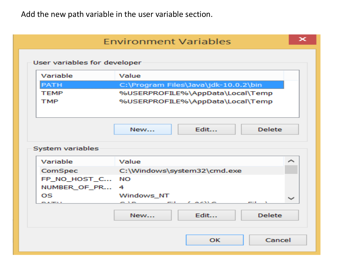Add the new path variable in the user variable section.

|                              | <b>Environment Variables</b> |                                      |         |
|------------------------------|------------------------------|--------------------------------------|---------|
| User variables for developer |                              |                                      |         |
| Variable                     | Value                        |                                      |         |
| <b>PATH</b>                  |                              | C:\Program Files\Java\jdk-10.0.2\bin |         |
| <b>TEMP</b>                  |                              | %USERPROFILE%\AppData\Local\Temp     |         |
| <b>TMP</b>                   |                              | %USERPROFILE%\AppData\Local\Temp     |         |
|                              |                              |                                      |         |
|                              | New                          | Fdit                                 | Delete. |
|                              |                              |                                      |         |
| System variables<br>Variable | Value                        |                                      | والشمو  |
| ComSpec                      |                              | C:\Windows\system32\cmd.exe          |         |
| FP NO HOST C                 | NO                           |                                      |         |
| NUMBER OF PR                 | 4                            |                                      |         |
| OS                           | Windows_NT                   |                                      | المسالة |
|                              |                              |                                      |         |
|                              | News                         | Fdit                                 | Delete. |
|                              |                              |                                      |         |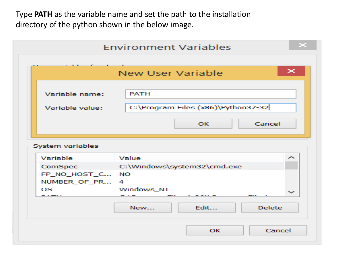Type **PATH** as the variable name and set the path to the installation directory of the python shown in the below image.

|                            | <b>Environment Variables</b>       |
|----------------------------|------------------------------------|
|                            | ×<br><b>New User Variable</b>      |
|                            |                                    |
| Variable name:             | <b>PATH</b>                        |
| Variable value:            | C:\Program Files (x86)\Python37-32 |
|                            | Cancel<br>ΟК                       |
|                            |                                    |
| System variables           | ∼                                  |
| Variable                   | Value                              |
| ComSpec<br>FP_NO_HOST_C NO | C:\Windows\system32\cmd.exe        |
| NUMBER OF PR               | 4                                  |
| <b>OS</b><br>.             | Windows NT                         |
|                            | Edit<br><b>Delete</b><br>New       |